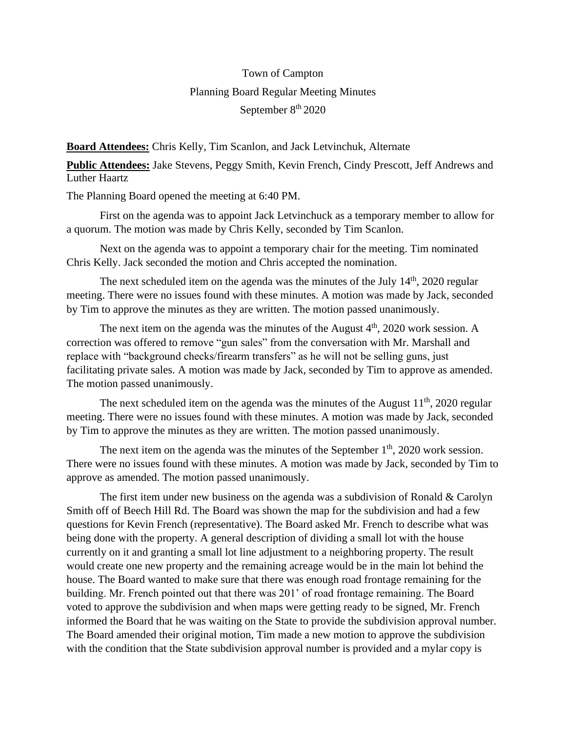## Town of Campton Planning Board Regular Meeting Minutes September 8<sup>th</sup> 2020

**Board Attendees:** Chris Kelly, Tim Scanlon, and Jack Letvinchuk, Alternate

**Public Attendees:** Jake Stevens, Peggy Smith, Kevin French, Cindy Prescott, Jeff Andrews and Luther Haartz

The Planning Board opened the meeting at 6:40 PM.

First on the agenda was to appoint Jack Letvinchuck as a temporary member to allow for a quorum. The motion was made by Chris Kelly, seconded by Tim Scanlon.

Next on the agenda was to appoint a temporary chair for the meeting. Tim nominated Chris Kelly. Jack seconded the motion and Chris accepted the nomination.

The next scheduled item on the agenda was the minutes of the July  $14<sup>th</sup>$ , 2020 regular meeting. There were no issues found with these minutes. A motion was made by Jack, seconded by Tim to approve the minutes as they are written. The motion passed unanimously.

The next item on the agenda was the minutes of the August  $4<sup>th</sup>$ , 2020 work session. A correction was offered to remove "gun sales" from the conversation with Mr. Marshall and replace with "background checks/firearm transfers" as he will not be selling guns, just facilitating private sales. A motion was made by Jack, seconded by Tim to approve as amended. The motion passed unanimously.

The next scheduled item on the agenda was the minutes of the August  $11<sup>th</sup>$ , 2020 regular meeting. There were no issues found with these minutes. A motion was made by Jack, seconded by Tim to approve the minutes as they are written. The motion passed unanimously.

The next item on the agenda was the minutes of the September  $1<sup>th</sup>$ , 2020 work session. There were no issues found with these minutes. A motion was made by Jack, seconded by Tim to approve as amended. The motion passed unanimously.

The first item under new business on the agenda was a subdivision of Ronald & Carolyn Smith off of Beech Hill Rd. The Board was shown the map for the subdivision and had a few questions for Kevin French (representative). The Board asked Mr. French to describe what was being done with the property. A general description of dividing a small lot with the house currently on it and granting a small lot line adjustment to a neighboring property. The result would create one new property and the remaining acreage would be in the main lot behind the house. The Board wanted to make sure that there was enough road frontage remaining for the building. Mr. French pointed out that there was 201' of road frontage remaining. The Board voted to approve the subdivision and when maps were getting ready to be signed, Mr. French informed the Board that he was waiting on the State to provide the subdivision approval number. The Board amended their original motion, Tim made a new motion to approve the subdivision with the condition that the State subdivision approval number is provided and a mylar copy is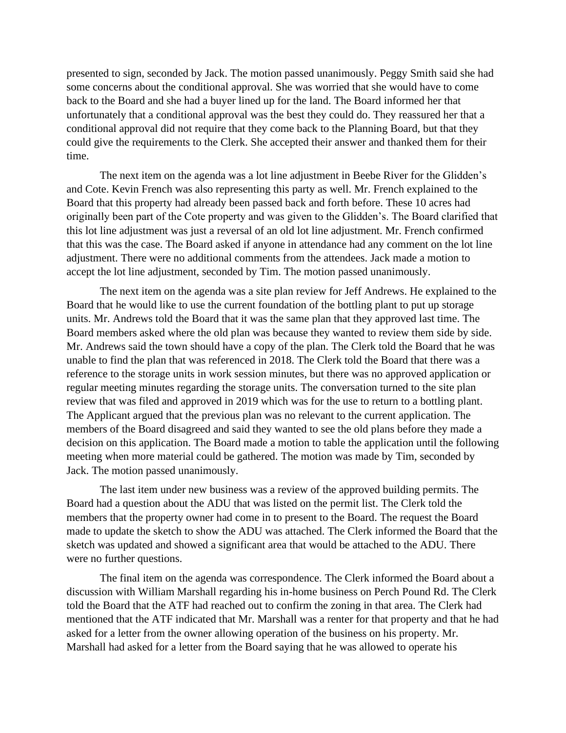presented to sign, seconded by Jack. The motion passed unanimously. Peggy Smith said she had some concerns about the conditional approval. She was worried that she would have to come back to the Board and she had a buyer lined up for the land. The Board informed her that unfortunately that a conditional approval was the best they could do. They reassured her that a conditional approval did not require that they come back to the Planning Board, but that they could give the requirements to the Clerk. She accepted their answer and thanked them for their time.

The next item on the agenda was a lot line adjustment in Beebe River for the Glidden's and Cote. Kevin French was also representing this party as well. Mr. French explained to the Board that this property had already been passed back and forth before. These 10 acres had originally been part of the Cote property and was given to the Glidden's. The Board clarified that this lot line adjustment was just a reversal of an old lot line adjustment. Mr. French confirmed that this was the case. The Board asked if anyone in attendance had any comment on the lot line adjustment. There were no additional comments from the attendees. Jack made a motion to accept the lot line adjustment, seconded by Tim. The motion passed unanimously.

The next item on the agenda was a site plan review for Jeff Andrews. He explained to the Board that he would like to use the current foundation of the bottling plant to put up storage units. Mr. Andrews told the Board that it was the same plan that they approved last time. The Board members asked where the old plan was because they wanted to review them side by side. Mr. Andrews said the town should have a copy of the plan. The Clerk told the Board that he was unable to find the plan that was referenced in 2018. The Clerk told the Board that there was a reference to the storage units in work session minutes, but there was no approved application or regular meeting minutes regarding the storage units. The conversation turned to the site plan review that was filed and approved in 2019 which was for the use to return to a bottling plant. The Applicant argued that the previous plan was no relevant to the current application. The members of the Board disagreed and said they wanted to see the old plans before they made a decision on this application. The Board made a motion to table the application until the following meeting when more material could be gathered. The motion was made by Tim, seconded by Jack. The motion passed unanimously.

The last item under new business was a review of the approved building permits. The Board had a question about the ADU that was listed on the permit list. The Clerk told the members that the property owner had come in to present to the Board. The request the Board made to update the sketch to show the ADU was attached. The Clerk informed the Board that the sketch was updated and showed a significant area that would be attached to the ADU. There were no further questions.

The final item on the agenda was correspondence. The Clerk informed the Board about a discussion with William Marshall regarding his in-home business on Perch Pound Rd. The Clerk told the Board that the ATF had reached out to confirm the zoning in that area. The Clerk had mentioned that the ATF indicated that Mr. Marshall was a renter for that property and that he had asked for a letter from the owner allowing operation of the business on his property. Mr. Marshall had asked for a letter from the Board saying that he was allowed to operate his